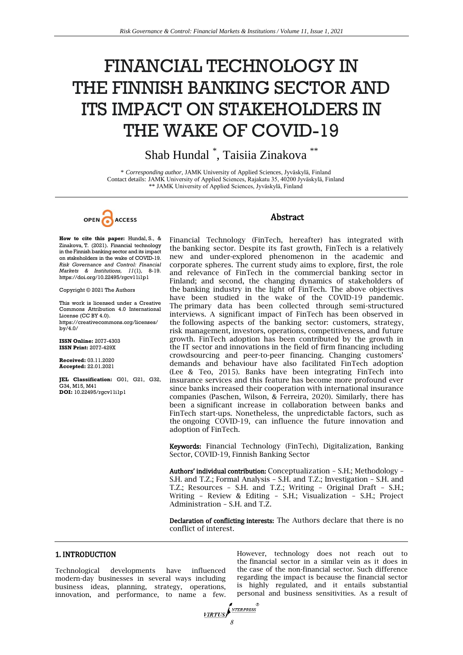# FINANCIAL TECHNOLOGY IN THE FINNISH BANKING SECTOR AND ITS IMPACT ON STAKEHOLDERS IN THE WAKE OF COVID-19

Shab Hundal \* , Taisiia Zinakova \*\*

\* *Corresponding author,* JAMK University of Applied Sciences, Jyväskylä, Finland Contact details: JAMK University of Applied Sciences, Rajakatu 35, 40200 Jyväskylä, Finland \*\* JAMK University of Applied Sciences, Jyväskylä, Finland



**How to cite this paper:** Hundal, S., & Zinakova, T. (2021). Financial technology in the Finnish banking sector and its impact on stakeholders in the wake of COVID-19. *Risk Governance and Control: Financial Markets & Institutions, 11*(1)*,* 8-19. https://doi.org/10.22495/rgcv11i1p1

Copyright © 2021 The Authors

This work is licensed under a Creative Commons Attribution 4.0 International License (CC BY 4.0). [https://creativecommons.org/licenses/](https://creativecommons.org/licenses/by/4.0/) [by/4.0/](https://creativecommons.org/licenses/by/4.0/)

**ISSN Online:** 2077-4303 **ISSN Print:** 2077-429X

**Received:** 03.11.2020 **Accepted:** 22.01.2021

**JEL Classification:** G01, G21, G32, G34, M15, M41 **DOI:** 10.22495/rgcv11i1p1

# Abstract

Financial Technology (FinTech, hereafter) has integrated with the banking sector. Despite its fast growth, FinTech is a relatively new and under-explored phenomenon in the academic and corporate spheres. The current study aims to explore, first, the role and relevance of FinTech in the commercial banking sector in Finland; and second, the changing dynamics of stakeholders of the banking industry in the light of FinTech. The above objectives have been studied in the wake of the COVID-19 pandemic. The primary data has been collected through semi-structured interviews. A significant impact of FinTech has been observed in the following aspects of the banking sector: customers, strategy, risk management, investors, operations, competitiveness, and future growth. FinTech adoption has been contributed by the growth in the IT sector and innovations in the field of firm financing including crowdsourcing and peer-to-peer financing. Changing customers' demands and behaviour have also facilitated FinTech adoption (Lee & Teo, 2015). Banks have been integrating FinTech into insurance services and this feature has become more profound ever since banks increased their cooperation with international insurance companies (Paschen, Wilson, & Ferreira, 2020). Similarly, there has been a significant increase in collaboration between banks and FinTech start-ups. Nonetheless, the unpredictable factors, such as the ongoing COVID-19, can influence the future innovation and adoption of FinTech.

Keywords: Financial Technology (FinTech), Digitalization, Banking Sector, COVID-19, Finnish Banking Sector

Authors' individual contribution: Conceptualization – S.H.; Methodology – S.H. and T.Z.; Formal Analysis – S.H. and T.Z.; Investigation – S.H. and T.Z.; Resources – S.H. and T.Z.; Writing – Original Draft – S.H.; Writing – Review & Editing – S.H.; Visualization – S.H.; Project Administration – S.H. and T.Z.

Declaration of conflicting interests: The Authors declare that there is no conflict of interest.

## 1. INTRODUCTION

Technological developments have influenced modern-day businesses in several ways including business ideas, planning, strategy, operations, innovation, and performance, to name a few.

However, technology does not reach out to the financial sector in a similar vein as it does in the case of the non-financial sector. Such difference regarding the impact is because the financial sector is highly regulated, and it entails substantial personal and business sensitivities. As a result of

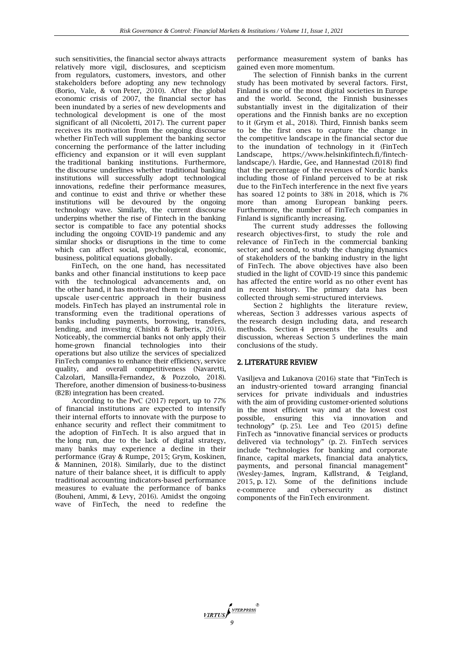such sensitivities, the financial sector always attracts relatively more vigil, disclosures, and scepticism from regulators, customers, investors, and other stakeholders before adopting any new technology (Borio, Vale, & von Peter, 2010). After the global economic crisis of 2007, the financial sector has been inundated by a series of new developments and technological development is one of the most significant of all (Nicoletti, 2017). The current paper receives its motivation from the ongoing discourse whether FinTech will supplement the banking sector concerning the performance of the latter including efficiency and expansion or it will even supplant the traditional banking institutions. Furthermore, the discourse underlines whether traditional banking institutions will successfully adopt technological innovations, redefine their performance measures, and continue to exist and thrive or whether these institutions will be devoured by the ongoing technology wave. Similarly, the current discourse underpins whether the rise of Fintech in the banking sector is compatible to face any potential shocks including the ongoing COVID-19 pandemic and any similar shocks or disruptions in the time to come which can affect social, psychological, economic, business, political equations globally.

FinTech, on the one hand, has necessitated banks and other financial institutions to keep pace with the technological advancements and, on the other hand, it has motivated them to ingrain and upscale user-centric approach in their business models. FinTech has played an instrumental role in transforming even the traditional operations of banks including payments, borrowing, transfers, lending, and investing (Chishti & Barberis, 2016). Noticeably, the commercial banks not only apply their home-grown financial technologies into their operations but also utilize the services of specialized FinTech companies to enhance their efficiency, service quality, and overall competitiveness (Navaretti, Calzolari, Mansilla-Fernandez, & Pozzolo, 2018). Therefore, another dimension of business-to-business (B2B) integration has been created.

According to the PwC (2017) report, up to 77% of financial institutions are expected to intensify their internal efforts to innovate with the purpose to enhance security and reflect their commitment to the adoption of FinTech. It is also argued that in the long run, due to the lack of digital strategy, many banks may experience a decline in their performance (Gray & Rumpe, 2015; Grym, Koskinen, & Manninen, 2018). Similarly, due to the distinct nature of their balance sheet, it is difficult to apply traditional accounting indicators-based performance measures to evaluate the performance of banks (Bouheni, Ammi, & Levy, 2016). Amidst the ongoing wave of FinTech, the need to redefine the

performance measurement system of banks has gained even more momentum.

The selection of Finnish banks in the current study has been motivated by several factors. First, Finland is one of the most digital societies in Europe and the world. Second, the Finnish businesses substantially invest in the digitalization of their operations and the Finnish banks are no exception to it (Grym et al., 2018). Third, Finnish banks seem to be the first ones to capture the change in the competitive landscape in the financial sector due to the inundation of technology in it (FinTech Landscape, https://www.helsinkifintech.fi/fintechlandscape/). Hardie, Gee, and Hannestad (2018) find that the percentage of the revenues of Nordic banks including those of Finland perceived to be at risk due to the FinTech interference in the next five years has soared 12 points to 38% in 2018, which is 7% more than among European banking peers. Furthermore, the number of FinTech companies in Finland is significantly increasing.

The current study addresses the following research objectives-first, to study the role and relevance of FinTech in the commercial banking sector; and second, to study the changing dynamics of stakeholders of the banking industry in the light of FinTech. The above objectives have also been studied in the light of COVID-19 since this pandemic has affected the entire world as no other event has in recent history. The primary data has been collected through semi-structured interviews.

Section 2 highlights the literature review, whereas, Section 3 addresses various aspects of the research design including data, and research methods. Section 4 presents the results and discussion, whereas Section 5 underlines the main conclusions of the study.

# 2. LITERATURE REVIEW

Vasiljeva and Lukanova (2016) state that "FinTech is an industry-oriented toward arranging financial services for private individuals and industries with the aim of providing customer-oriented solutions in the most efficient way and at the lowest cost possible, ensuring this via innovation and technology" (p. 25). Lee and Teo (2015) define FinTech as "innovative financial services or products delivered via technology" (p. 2). FinTech services include "technologies for banking and corporate finance, capital markets, financial data analytics, payments, and personal financial management" (Wesley-James, Ingram, Kallstrand, & Teigland, 2015, p. 12). Some of the definitions include and cybersecurity as distinct components of the FinTech environment.

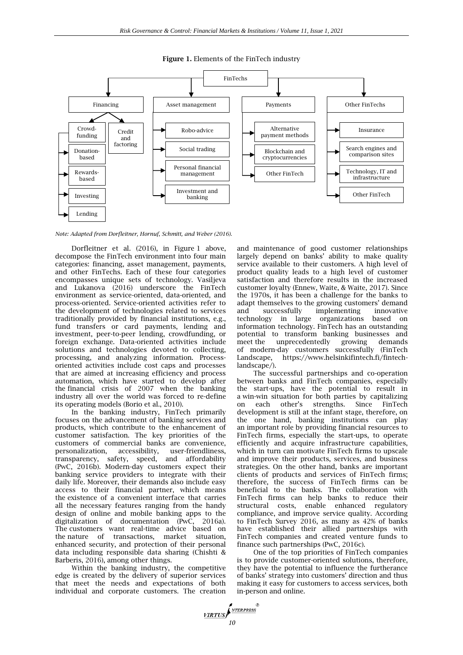

#### **Figure 1.** Elements of the FinTech industry

*Note: Adapted from Dorfleitner, Hornuf, Schmitt, and Weber (2016).*

Dorfleitner et al. (2016), in Figure 1 above, decompose the FinTech environment into four main categories: financing, asset management, payments, and other FinTechs. Each of these four categories encompasses unique sets of technology. Vasiljeva and Lukanova (2016) underscore the FinTech environment as service-oriented, data-oriented, and process-oriented. Service-oriented activities refer to the development of technologies related to services traditionally provided by financial institutions, e.g., fund transfers or card payments, lending and investment, peer-to-peer lending, crowdfunding, or foreign exchange. Data-oriented activities include solutions and technologies devoted to collecting, processing, and analyzing information. Processoriented activities include cost caps and processes that are aimed at increasing efficiency and process automation, which have started to develop after the financial crisis of 2007 when the banking industry all over the world was forced to re-define its operating models (Borio et al., 2010).

In the banking industry, FinTech primarily focuses on the advancement of banking services and products, which contribute to the enhancement of customer satisfaction. The key priorities of the customers of commercial banks are convenience, personalization, accessibility, user-friendliness, transparency, safety, speed, and affordability (PwC, 2016b). Modern-day customers expect their banking service providers to integrate with their daily life. Moreover, their demands also include easy access to their financial partner, which means the existence of a convenient interface that carries all the necessary features ranging from the handy design of online and mobile banking apps to the digitalization of documentation (PwC, 2016a). The customers want real-time advice based on the nature of transactions, market situation, enhanced security, and protection of their personal data including responsible data sharing (Chishti & Barberis, 2016), among other things.

Within the banking industry, the competitive edge is created by the delivery of superior services that meet the needs and expectations of both individual and corporate customers. The creation

and maintenance of good customer relationships largely depend on banks' ability to make quality service available to their customers. A high level of product quality leads to a high level of customer satisfaction and therefore results in the increased customer loyalty (Ennew, Waite, & Waite, 2017). Since the 1970s, it has been a challenge for the banks to adapt themselves to the growing customers' demand and successfully implementing innovative technology in large organizations based on information technology. FinTech has an outstanding potential to transform banking businesses and meet the unprecedentedly growing demands of modern-day customers successfully (FinTech Landscape, https://www.helsinkifintech.fi/fintechlandscape/).

The successful partnerships and co-operation between banks and FinTech companies, especially the start-ups, have the potential to result in a win-win situation for both parties by capitalizing on each other's strengths. Since FinTech development is still at the infant stage, therefore, on the one hand, banking institutions can play an important role by providing financial resources to FinTech firms, especially the start-ups, to operate efficiently and acquire infrastructure capabilities, which in turn can motivate FinTech firms to upscale and improve their products, services, and business strategies. On the other hand, banks are important clients of products and services of FinTech firms; therefore, the success of FinTech firms can be beneficial to the banks. The collaboration with FinTech firms can help banks to reduce their structural costs, enable enhanced regulatory compliance, and improve service quality. According to FinTech Survey 2016, as many as 42% of banks have established their allied partnerships with FinTech companies and created venture funds to finance such partnerships (PwC, 2016c).

One of the top priorities of FinTech companies is to provide customer-oriented solutions, therefore, they have the potential to influence the furtherance of banks' strategy into customers' direction and thus making it easy for customers to access services, both in-person and online.

NTERPRESS **VIRTUS** *10*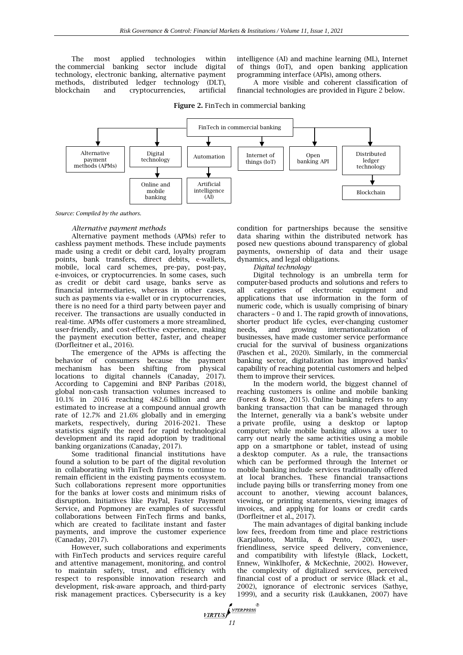The most applied technologies within the commercial banking sector include digital technology, electronic banking, alternative payment methods, distributed ledger technology (DLT), blockchain and cryptocurrencies, artificial

intelligence (AI) and machine learning (ML), Internet of things (IoT), and open banking application programming interface (APIs), among others.

A more visible and coherent classification of financial technologies are provided in Figure 2 below.



**Figure 2.** FinTech in commercial banking

*11*

**VIRTUS** 

NTERPRESS

*Source: Compiled by the authors.*

#### *Alternative payment methods*

Alternative payment methods (APMs) refer to cashless payment methods. These include payments made using a credit or debit card, loyalty program points, bank transfers, direct debits, e-wallets, mobile, local card schemes, pre-pay, post-pay, e-invoices, or cryptocurrencies. In some cases, such as credit or debit card usage, banks serve as financial intermediaries, whereas in other cases, such as payments via e-wallet or in cryptocurrencies, there is no need for a third party between payer and receiver. The transactions are usually conducted in real-time. APMs offer customers a more streamlined, user-friendly, and cost-effective experience, making the payment execution better, faster, and cheaper (Dorfleitner et al., 2016).

The emergence of the APMs is affecting the behavior of consumers because the payment mechanism has been shifting from physical locations to digital channels (Canaday, 2017). According to Capgemini and BNP Paribas (2018), global non-cash transaction volumes increased to 10.1% in 2016 reaching 482.6 billion and are estimated to increase at a compound annual growth rate of 12.7% and 21.6% globally and in emerging markets, respectively, during 2016-2021. These statistics signify the need for rapid technological development and its rapid adoption by traditional banking organizations (Canaday, 2017).

Some traditional financial institutions have found a solution to be part of the digital revolution in collaborating with FinTech firms to continue to remain efficient in the existing payments ecosystem. Such collaborations represent more opportunities for the banks at lower costs and minimum risks of disruption. Initiatives like PayPal, Faster Payment Service, and Popmoney are examples of successful collaborations between FinTech firms and banks, which are created to facilitate instant and faster payments, and improve the customer experience (Canaday, 2017).

However, such collaborations and experiments with FinTech products and services require careful and attentive management, monitoring, and control to maintain safety, trust, and efficiency with respect to responsible innovation research and development, risk-aware approach, and third-party risk management practices. Cybersecurity is a key

condition for partnerships because the sensitive data sharing within the distributed network has posed new questions abound transparency of global payments, ownership of data and their usage dynamics, and legal obligations.

#### *Digital technology*

Digital technology is an umbrella term for computer-based products and solutions and refers to all categories of electronic equipment and applications that use information in the form of numeric code, which is usually comprising of binary characters – 0 and 1. The rapid growth of innovations, shorter product life cycles, ever-changing customer<br>needs, and growing internationalization of needs, and growing internationalization of businesses, have made customer service performance crucial for the survival of business organizations (Paschen et al., 2020). Similarly, in the commercial banking sector, digitalization has improved banks' capability of reaching potential customers and helped them to improve their services.

In the modern world, the biggest channel of reaching customers is online and mobile banking (Forest & Rose, 2015). Online banking refers to any banking transaction that can be managed through the Internet, generally via a bank's website under a private profile, using a desktop or laptop computer; while mobile banking allows a user to carry out nearly the same activities using a mobile app on a smartphone or tablet, instead of using a desktop computer. As a rule, the transactions which can be performed through the Internet or mobile banking include services traditionally offered at local branches. These financial transactions include paying bills or transferring money from one account to another, viewing account balances, viewing, or printing statements, viewing images of invoices, and applying for loans or credit cards (Dorfleitner et al., 2017).

The main advantages of digital banking include low fees, freedom from time and place restrictions (Karjaluoto, Mattila, & Pento, 2002), userfriendliness, service speed delivery, convenience, and compatibility with lifestyle (Black, Lockett, Ennew, Winklhofer, & McKechnie, 2002). However, the complexity of digitalized services, perceived financial cost of a product or service (Black et al., 2002), ignorance of electronic services (Sathye, 1999), and a security risk (Laukkanen, 2007) have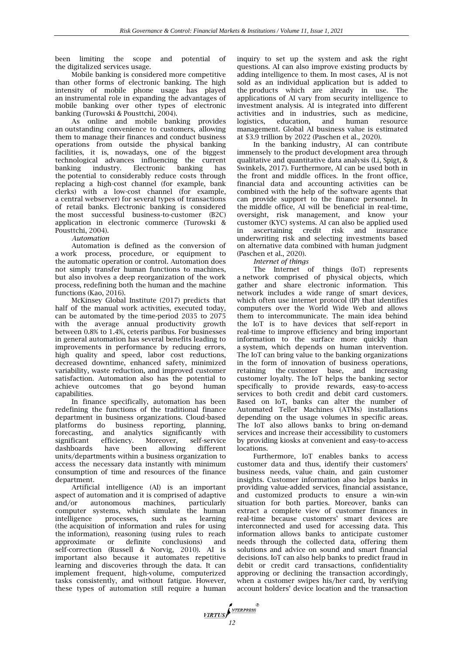been limiting the scope and potential of the digitalized services usage.

Mobile banking is considered more competitive than other forms of electronic banking. The high intensity of mobile phone usage has played an instrumental role in expanding the advantages of mobile banking over other types of electronic banking (Turowski & Pousttchi, 2004).

As online and mobile banking provides an outstanding convenience to customers, allowing them to manage their finances and conduct business operations from outside the physical banking facilities, it is, nowadays, one of the biggest technological advances influencing the current banking industry. Electronic banking has the potential to considerably reduce costs through replacing a high-cost channel (for example, bank clerks) with a low-cost channel (for example, a central webserver) for several types of transactions of retail banks. Electronic banking is considered the most successful business-to-customer (B2C) application in electronic commerce (Turowski & Pousttchi, 2004).

*Automation*

Automation is defined as the conversion of a work process, procedure, or equipment to the automatic operation or control. Automation does not simply transfer human functions to machines, but also involves a deep reorganization of the work process, redefining both the human and the machine functions (Kao, 2016).

McKinsey Global Institute (2017) predicts that half of the manual work activities, executed today, can be automated by the time-period 2035 to 2075 with the average annual productivity growth between 0.8% to 1.4%, ceteris paribus. For businesses in general automation has several benefits leading to improvements in performance by reducing errors, high quality and speed, labor cost reductions, decreased downtime, enhanced safety, minimized variability, waste reduction, and improved customer satisfaction. Automation also has the potential to achieve outcomes that go beyond human capabilities.

In finance specifically, automation has been redefining the functions of the traditional finance department in business organizations. Cloud-based platforms do business reporting, planning, forecasting, and analytics significantly with significant efficiency. Moreover, self-service dashboards have been allowing different units/departments within a business organization to access the necessary data instantly with minimum consumption of time and resources of the finance department.

Artificial intelligence (AI) is an important aspect of automation and it is comprised of adaptive and/or autonomous machines, particularly computer systems, which simulate the human intelligence processes, such as learning (the acquisition of information and rules for using the information), reasoning (using rules to reach<br>approximate or definite conclusions) and approximate or definite conclusions) and self-correction (Russell & Norvig, 2010). AI is important also because it automates repetitive learning and discoveries through the data. It can implement frequent, high-volume, computerized tasks consistently, and without fatigue. However, these types of automation still require a human

inquiry to set up the system and ask the right questions. AI can also improve existing products by adding intelligence to them. In most cases, AI is not sold as an individual application but is added to the products which are already in use. The applications of AI vary from security intelligence to investment analysis. AI is integrated into different activities and in industries, such as medicine, logistics, education, and human resource management. Global AI business value is estimated at \$3.9 trillion by 2022 (Paschen et al., 2020).

In the banking industry, AI can contribute immensely to the product development area through qualitative and quantitative data analysis (Li, Spigt, & Swinkels, 2017). Furthermore, AI can be used both in the front and middle offices. In the front office, financial data and accounting activities can be combined with the help of the software agents that can provide support to the finance personnel. In the middle office, AI will be beneficial in real-time, oversight, risk management, and know your customer (KYC) systems. AI can also be applied used in ascertaining credit risk and insurance underwriting risk and selecting investments based on alternative data combined with human judgment (Paschen et al., 2020).

*Internet of things*

The Internet of things (IoT) represents a network comprised of physical objects, which gather and share electronic information. This network includes a wide range of smart devices, which often use internet protocol (IP) that identifies computers over the World Wide Web and allows them to intercommunicate. The main idea behind the IoT is to have devices that self-report in real-time to improve efficiency and bring important information to the surface more quickly than a system, which depends on human intervention. The IoT can bring value to the banking organizations in the form of innovation of business operations, retaining the customer base, and increasing customer loyalty. The IoT helps the banking sector specifically to provide rewards, easy-to-access services to both credit and debit card customers. Based on IoT, banks can alter the number of Automated Teller Machines (ATMs) installations depending on the usage volumes in specific areas. The IoT also allows banks to bring on-demand services and increase their accessibility to customers by providing kiosks at convenient and easy-to-access locations.

Furthermore, IoT enables banks to access customer data and thus, identify their customers' business needs, value chain, and gain customer insights. Customer information also helps banks in providing value-added services, financial assistance, and customized products to ensure a win-win situation for both parties. Moreover, banks can extract a complete view of customer finances in real-time because customers' smart devices are interconnected and used for accessing data. This information allows banks to anticipate customer needs through the collected data, offering them solutions and advice on sound and smart financial decisions. IoT can also help banks to predict fraud in debit or credit card transactions, confidentiality approving or declining the transaction accordingly, when a customer swipes his/her card, by verifying account holders' device location and the transaction

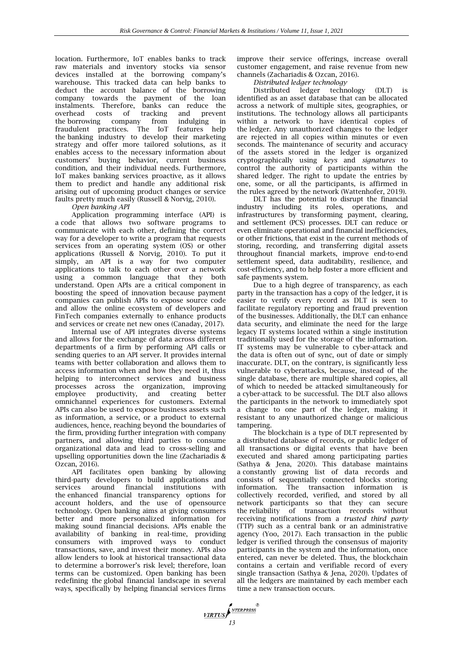location. Furthermore, IoT enables banks to track raw materials and inventory stocks via sensor devices installed at the borrowing company's warehouse. This tracked data can help banks to deduct the account balance of the borrowing company towards the payment of the loan instalments. Therefore, banks can reduce the overhead costs the borrowing company from indulging in fraudulent practices. The IoT features help the banking industry to develop their marketing strategy and offer more tailored solutions, as it enables access to the necessary information about customers' buying behavior, current business condition, and their individual needs. Furthermore, IoT makes banking services proactive, as it allows them to predict and handle any additional risk arising out of upcoming product changes or service faults pretty much easily (Russell & Norvig, 2010).

*Open banking API*

Application programming interface (API) is a code that allows two software programs to communicate with each other, defining the correct way for a developer to write a program that requests services from an operating system (OS) or other applications (Russell & Norvig, 2010). To put it simply, an API is a way for two computer applications to talk to each other over a network using a common language that they both understand. Open APIs are a critical component in boosting the speed of innovation because payment companies can publish APIs to expose source code and allow the online ecosystem of developers and FinTech companies externally to enhance products and services or create net new ones (Canaday, 2017).

Internal use of API integrates diverse systems and allows for the exchange of data across different departments of a firm by performing API calls or sending queries to an API server. It provides internal teams with better collaboration and allows them to access information when and how they need it, thus helping to interconnect services and business processes across the organization, improving employee productivity, and creating better omnichannel experiences for customers. External APIs can also be used to expose business assets such as information, a service, or a product to external audiences, hence, reaching beyond the boundaries of the firm, providing further integration with company partners, and allowing third parties to consume organizational data and lead to cross-selling and upselling opportunities down the line (Zachariadis & Ozcan, 2016).

API facilitates open banking by allowing third-party developers to build applications and services around financial institutions with the enhanced financial transparency options for account holders, and the use of opensource technology. Open banking aims at giving consumers better and more personalized information for making sound financial decisions. APIs enable the availability of banking in real-time, providing consumers with improved ways to conduct transactions, save, and invest their money. APIs also allow lenders to look at historical transactional data to determine a borrower's risk level; therefore, loan terms can be customized. Open banking has been redefining the global financial landscape in several ways, specifically by helping financial services firms

**17RTUS** 

improve their service offerings, increase overall customer engagement, and raise revenue from new channels (Zachariadis & Ozcan, 2016).

*Distributed ledger technology*

Distributed ledger technology (DLT) is identified as an asset database that can be allocated across a network of multiple sites, geographies, or institutions. The technology allows all participants within a network to have identical copies of the ledger. Any unauthorized changes to the ledger are rejected in all copies within minutes or even seconds. The maintenance of security and accuracy of the assets stored in the ledger is organized cryptographically using *keys* and *signatures* to control the authority of participants within the shared ledger. The right to update the entries by one, some, or all the participants, is affirmed in the rules agreed by the network (Wattenhofer, 2019).

DLT has the potential to disrupt the financial industry including its roles, operations, and infrastructures by transforming payment, clearing, and settlement (PCS) processes. DLT can reduce or even eliminate operational and financial inefficiencies, or other frictions, that exist in the current methods of storing, recording, and transferring digital assets throughout financial markets, improve end-to-end settlement speed, data auditability, resilience, and cost-efficiency, and to help foster a more efficient and safe payments system.

Due to a high degree of transparency, as each party in the transaction has a copy of the ledger, it is easier to verify every record as DLT is seen to facilitate regulatory reporting and fraud prevention of the businesses. Additionally, the DLT can enhance data security, and eliminate the need for the large legacy IT systems located within a single institution traditionally used for the storage of the information. IT systems may be vulnerable to cyber-attack and the data is often out of sync, out of date or simply inaccurate. DLT, on the contrary, is significantly less vulnerable to cyberattacks, because, instead of the single database, there are multiple shared copies, all of which to needed be attacked simultaneously for a cyber-attack to be successful. The DLT also allows the participants in the network to immediately spot a change to one part of the ledger, making it resistant to any unauthorized change or malicious tampering.

The blockchain is a type of DLT represented by a distributed database of records, or public ledger of all transactions or digital events that have been executed and shared among participating parties (Sathya & Jena, 2020). This database maintains a constantly growing list of data records and consists of sequentially connected blocks storing information. The transaction information is collectively recorded, verified, and stored by all network participants so that they can secure the reliability of transaction records without receiving notifications from a *trusted third party* (TTP) such as a central bank or an administrative agency (Yoo, 2017). Each transaction in the public ledger is verified through the consensus of majority participants in the system and the information, once entered, can never be deleted. Thus, the blockchain contains a certain and verifiable record of every single transaction (Sathya & Jena, 2020). Updates of all the ledgers are maintained by each member each time a new transaction occurs.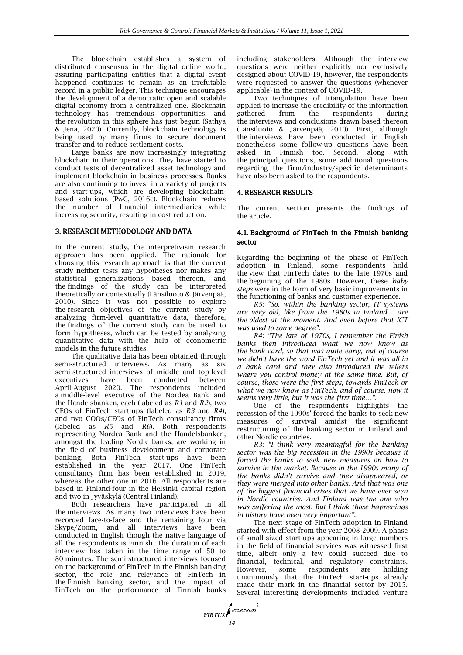The blockchain establishes a system of distributed consensus in the digital online world, assuring participating entities that a digital event happened continues to remain as an irrefutable record in a public ledger. This technique encourages the development of a democratic open and scalable digital economy from a centralized one. Blockchain technology has tremendous opportunities, and the revolution in this sphere has just begun (Sathya & Jena, 2020). Currently, blockchain technology is being used by many firms to secure document transfer and to reduce settlement costs.

Large banks are now increasingly integrating blockchain in their operations. They have started to conduct tests of decentralized asset technology and implement blockchain in business processes. Banks are also continuing to invest in a variety of projects and start-ups, which are developing blockchainbased solutions (PwC, 2016c). Blockchain reduces the number of financial intermediaries while increasing security, resulting in cost reduction.

### 3. RESEARCH METHODOLOGY AND DATA

In the current study, the interpretivism research approach has been applied. The rationale for choosing this research approach is that the current study neither tests any hypotheses nor makes any statistical generalizations based thereon, and the findings of the study can be interpreted theoretically or contextually (Länsiluoto & Järvenpää, 2010). Since it was not possible to explore the research objectives of the current study by analyzing firm-level quantitative data, therefore, the findings of the current study can be used to form hypotheses, which can be tested by analyzing quantitative data with the help of econometric models in the future studies.

The qualitative data has been obtained through semi-structured interviews. As many as six semi-structured interviews of middle and top-level executives have been conducted between April-August 2020. The respondents included a middle-level executive of the Nordea Bank and the Handelsbanken, each (labeled as *R1* and *R2*), two CEOs of FinTech start-ups (labeled as *R3* and *R4*), and two COOs/CEOs of FinTech consultancy firms (labeled as *R5* and *R6*). Both respondents representing Nordea Bank and the Handelsbanken, amongst the leading Nordic banks, are working in the field of business development and corporate banking. Both FinTech start-ups have been established in the year 2017. One FinTech consultancy firm has been established in 2019, whereas the other one in 2016. All respondents are based in Finland-four in the Helsinki capital region and two in Jyväskylä (Central Finland).

Both researchers have participated in all the interviews. As many two interviews have been recorded face-to-face and the remaining four via Skype/Zoom, and all interviews have been conducted in English though the native language of all the respondents is Finnish. The duration of each interview has taken in the time range of 50 to 80 minutes. The semi-structured interviews focused on the background of FinTech in the Finnish banking sector, the role and relevance of FinTech in the Finnish banking sector, and the impact of FinTech on the performance of Finnish banks

*MRTUS* 

including stakeholders. Although the interview questions were neither explicitly nor exclusively designed about COVID-19, however, the respondents were requested to answer the questions (whenever applicable) in the context of COVID-19.

Two techniques of triangulation have been applied to increase the credibility of the information<br>gathered from the respondents during respondents the interviews and conclusions drawn based thereon (Länsiluoto & Järvenpää, 2010). First, although the interviews have been conducted in English nonetheless some follow-up questions have been asked in Finnish too. Second, along with the principal questions, some additional questions regarding the firm/industry/specific determinants have also been asked to the respondents.

#### 4. RESEARCH RESULTS

The current section presents the findings of the article.

### 4.1. Background of FinTech in the Finnish banking sector

Regarding the beginning of the phase of FinTech adoption in Finland, some respondents hold the view that FinTech dates to the late 1970s and the beginning of the 1980s. However, these *baby steps* were in the form of very basic improvements in the functioning of banks and customer experience.

*R5: "So, within the banking sector, IT systems are very old, like from the 1980s in Finland… are the oldest at the moment. And even before that ICT was used to some degree".*

*R4: "The late of 1970s, I remember the Finish banks then introduced what we now know as the bank card, so that was quite early, but of course we didn't have the word FinTech yet and it was all in a bank card and they also introduced the tellers where you control money at the same time. But, of course, those were the first steps, towards FinTech or what we now know as FinTech, and of course, now it seems very little, but it was the first time…".*

One of the respondents highlights the recession of the 1990s' forced the banks to seek new measures of survival amidst the significant restructuring of the banking sector in Finland and other Nordic countries.

*R3: "I think very meaningful for the banking sector was the big recession in the 1990s because it forced the banks to seek new measures on how to survive in the market. Because in the 1990s many of the banks didn't survive and they disappeared, or they were merged into other banks. And that was one of the biggest financial crises that we have ever seen in Nordic countries. And Finland was the one who was suffering the most. But I think those happenings in history have been very important".*

The next stage of FinTech adoption in Finland started with effect from the year 2008-2009. A phase of small-sized start-ups appearing in large numbers in the field of financial services was witnessed first time, albeit only a few could succeed due to financial, technical, and regulatory constraints. However, some respondents are holding unanimously that the FinTech start-ups already made their mark in the financial sector by 2015. Several interesting developments included venture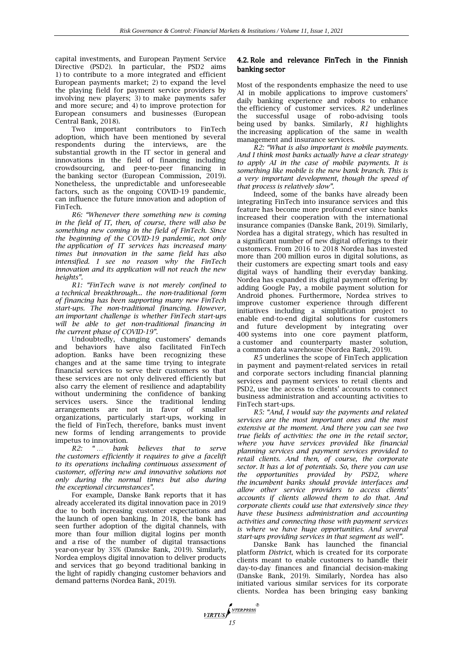capital investments, and European Payment Service Directive (PSD2). In particular, the PSD2 aims 1) to contribute to a more integrated and efficient European payments market; 2) to expand the level the playing field for payment service providers by involving new players; 3) to make payments safer and more secure; and 4) to improve protection for European consumers and businesses (European Central Bank, 2018).

Two important contributors to FinTech adoption, which have been mentioned by several respondents during the interviews, are the substantial growth in the IT sector in general and innovations in the field of financing including crowdsourcing, and peer-to-peer financing in the banking sector (European Commission, 2019). Nonetheless, the unpredictable and unforeseeable factors, such as the ongoing COVID-19 pandemic, can influence the future innovation and adoption of FinTech.

*R6: "Whenever there something new is coming in the field of IT, then, of course, there will also be something new coming in the field of FinTech. Since the beginning of the COVID-19 pandemic, not only the application of IT services has increased many times but innovation in the same field has also intensified. I see no reason why the FinTech innovation and its application will not reach the new heights".*

*R1: "FinTech wave is not merely confined to a technical breakthrough... the non-traditional form of financing has been supporting many new FinTech start-ups. The non-traditional financing. However, an important challenge is whether FinTech start-ups will be able to get non-traditional financing in the current phase of COVID-19".*

Undoubtedly, changing customers' demands and behaviors have also facilitated FinTech adoption. Banks have been recognizing these changes and at the same time trying to integrate financial services to serve their customers so that these services are not only delivered efficiently but also carry the element of resilience and adaptability without undermining the confidence of banking services users. Since the traditional lending arrangements are not in favor of smaller organizations, particularly start-ups, working in the field of FinTech, therefore, banks must invent new forms of lending arrangements to provide

impetus to innovation.<br> $R2:$  "... bank *R2: " … bank believes that to serve the customers efficiently it requires to give a facelift to its operations including continuous assessment of customer, offering new and innovative solutions not only during the normal times but also during the exceptional circumstances".*

For example, Danske Bank reports that it has already accelerated its digital innovation pace in 2019 due to both increasing customer expectations and the launch of open banking. In 2018, the bank has seen further adoption of the digital channels, with more than four million digital logins per month and a rise of the number of digital transactions year-on-year by 35% (Danske Bank, 2019). Similarly, Nordea employs digital innovation to deliver products and services that go beyond traditional banking in the light of rapidly changing customer behaviors and demand patterns (Nordea Bank, 2019).

# 4.2. Role and relevance FinTech in the Finnish banking sector

Most of the respondents emphasize the need to use AI in mobile applications to improve customers' daily banking experience and robots to enhance the efficiency of customer services. *R2* underlines the successful usage of robo-advising tools being used by banks. Similarly, *R1* highlights the increasing application of the same in wealth management and insurance services.

*R2: "What is also important is mobile payments. And I think most banks actually have a clear strategy to apply AI in the case of mobile payments. It is something like mobile is the new bank branch. This is a very important development, though the speed of that process is relatively slow".*

Indeed, some of the banks have already been integrating FinTech into insurance services and this feature has become more profound ever since banks increased their cooperation with the international insurance companies (Danske Bank, 2019). Similarly, Nordea has a digital strategy, which has resulted in a significant number of new digital offerings to their customers. From 2016 to 2018 Nordea has invested more than 200 million euros in digital solutions, as their customers are expecting smart tools and easy digital ways of handling their everyday banking. Nordea has expanded its digital payment offering by adding Google Pay, a mobile payment solution for Android phones. Furthermore, Nordea strives to improve customer experience through different initiatives including a simplification project to enable end-to-end digital solutions for customers and future development by integrating over 400 systems into one core payment platform, a customer and counterparty master solution, a common data warehouse (Nordea Bank, 2019).

*R5* underlines the scope of FinTech application in payment and payment-related services in retail and corporate sectors including financial planning services and payment services to retail clients and PSD2, use the access to clients' accounts to connect business administration and accounting activities to FinTech start-ups.

*R5: "And, I would say the payments and related services are the most important ones and the most extensive at the moment. And there you can see two true fields of activities: the one in the retail sector, where you have services provided like financial planning services and payment services provided to retail clients. And then, of course, the corporate sector. It has a lot of potentials. So, there you can use the opportunities provided by PSD2, where the incumbent banks should provide interfaces and allow other service providers to access clients' accounts if clients allowed them to do that. And corporate clients could use that extensively since they have these business administration and accounting activities and connecting those with payment services is where we have huge opportunities. And several start-ups providing services in that segment as well".*

Danske Bank has launched the financial platform *District*, which is created for its corporate clients meant to enable customers to handle their day-to-day finances and financial decision-making (Danske Bank, 2019). Similarly, Nordea has also initiated various similar services for its corporate clients. Nordea has been bringing easy banking

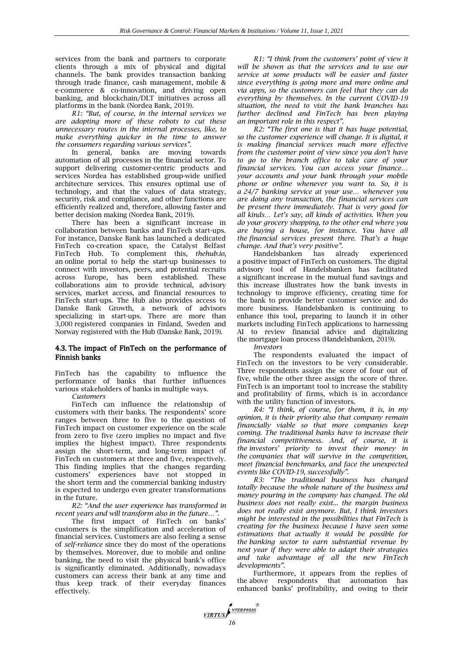services from the bank and partners to corporate clients through a mix of physical and digital channels. The bank provides transaction banking through trade finance, cash management, mobile & e-commerce & co-innovation, and driving open banking, and blockchain/DLT initiatives across all platforms in the bank (Nordea Bank, 2019).

*R1: "But, of course, in the internal services we are adopting more of these robots to cut these unnecessary routes in the internal processes, like, to make everything quicker in the time to answer the consumers regarding various services".*

In general, banks are moving towards automation of all processes in the financial sector. To support delivering customer-centric products and services Nordea has established group-wide unified architecture services. This ensures optimal use of technology, and that the values of data strategy, security, risk and compliance, and other functions are efficiently realized and, therefore, allowing faster and better decision making (Nordea Bank, 2019).

There has been a significant increase in collaboration between banks and FinTech start-ups. For instance, Danske Bank has launched a dedicated FinTech co-creation space, the Catalyst Belfast FinTech Hub. To complement this, *thehub.io*, an online portal to help the start-up businesses to connect with investors, peers, and potential recruits across Europe, has been established. These collaborations aim to provide technical, advisory services, market access, and financial resources to FinTech start-ups. The Hub also provides access to Danske Bank Growth, a network of advisors specializing in start-ups. There are more than 3,000 registered companies in Finland, Sweden and Norway registered with the Hub (Danske Bank, 2019).

## 4.3. The impact of FinTech on the performance of Finnish banks

FinTech has the capability to influence the performance of banks that further influences various stakeholders of banks in multiple ways.

*Customers*

FinTech can influence the relationship of customers with their banks. The respondents' score ranges between three to five to the question of FinTech impact on customer experience on the scale from zero to five (zero implies no impact and five implies the highest impact). Three respondents assign the short-term, and long-term impact of FinTech on customers at three and five, respectively. This finding implies that the changes regarding customers' experiences have not stopped in the short term and the commercial banking industry is expected to undergo even greater transformations in the future.

*R2: "And the user experience has transformed in recent years and will transform also in the future…".*

The first impact of FinTech on banks' customers is the simplification and acceleration of financial services. Customers are also feeling a sense of *self-reliance* since they do most of the operations by themselves. Moreover, due to mobile and online banking, the need to visit the physical bank's office is significantly eliminated. Additionally, nowadays customers can access their bank at any time and thus keep track of their everyday finances effectively.

*R1: "I think from the customers' point of view it will be shown as that the services and to use our service at some products will be easier and faster since everything is going more and more online and via apps, so the customers can feel that they can do everything by themselves. In the current COVID-19 situation, the need to visit the bank branches has further declined and FinTech has been playing an important role in this respect".*

*R2: "The first one is that it has huge potential, so the customer experience will change. It is digital, it is making financial services much more effective from the customer point of view since you don't have to go to the branch office to take care of your financial services. You can access your finance… your accounts and your bank through your mobile phone or online whenever you want to. So, it is a 24/7 banking service at your use… whenever you are doing any transaction, the financial services can be present there immediately. That is very good for all kinds… Let's say, all kinds of activities. When you do your grocery shopping, to the other end where you are buying a house, for instance. You have all the financial services present there. That's a huge* 

*change. And that's very positive".* Handelsbanken has already experienced a positive impact of FinTech on customers. The digital advisory tool of Handelsbanken has facilitated a significant increase in the mutual fund savings and this increase illustrates how the bank invests in technology to improve efficiency, creating time for the bank to provide better customer service and do more business. Handelsbanken is continuing to enhance this tool, preparing to launch it in other markets including FinTech applications to harnessing AI to review financial advice and digitalizing the mortgage loan process (Handelsbanken, 2019).

*Investors*

**17RTUS** 

The respondents evaluated the impact of FinTech on the investors to be very considerable. Three respondents assign the score of four out of five, while the other three assign the score of three. FinTech is an important tool to increase the stability and profitability of firms, which is in accordance with the utility function of investors.

*R4: "I think, of course, for them, it is, in my opinion, it is their priority also that company remain financially viable so that more companies keep coming. The traditional banks have to increase their financial competitiveness. And, of course, it is the investors' priority to invest their money in the companies that will survive in the competition, meet financial benchmarks, and face the unexpected events like COVID-19, successfully".*

*R3: "The traditional business has changed totally because the whole nature of the business and money pouring in the company has changed. The old business does not really exist... the margin business does not really exist anymore. But, I think investors might be interested in the possibilities that FinTech is creating for the business because I have seen some estimations that actually it would be possible for the banking sector to earn substantial revenue by next year if they were able to adapt their strategies and take advantage of all the new FinTech developments".* 

Furthermore, it appears from the replies of the above respondents that automation has enhanced banks' profitability, and owing to their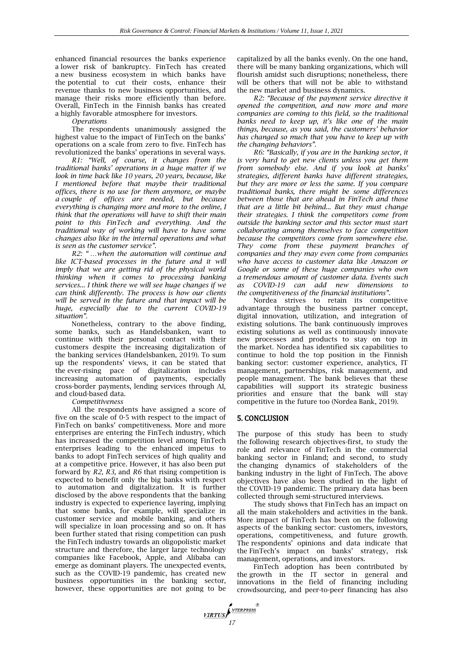enhanced financial resources the banks experience a lower risk of bankruptcy. FinTech has created a new business ecosystem in which banks have the potential to cut their costs, enhance their revenue thanks to new business opportunities, and manage their risks more efficiently than before. Overall, FinTech in the Finnish banks has created a highly favorable atmosphere for investors.

*Operations*

The respondents unanimously assigned the highest value to the impact of FinTech on the banks' operations on a scale from zero to five. FinTech has revolutionized the banks' operations in several ways.

*R1: "Well, of course, it changes from the traditional banks' operations in a huge matter if we look in time back like 10 years, 20 years, because, like I mentioned before that maybe their traditional offices, there is no use for them anymore, or maybe a couple of offices are needed, but because everything is changing more and more to the online, I think that the operations will have to shift their main point to this FinTech and everything. And the traditional way of working will have to have some changes also like in the internal operations and what is seen as the customer service".*

*R2: " …when the automation will continue and like ICT-based processes in the future and it will imply that we are getting rid of the physical world thinking when it comes to processing banking services... I think there we will see huge changes if we can think differently. The process is how our clients will be served in the future and that impact will be huge, especially due to the current COVID-19 situation".*

Nonetheless, contrary to the above finding, some banks, such as Handelsbanken, want to continue with their personal contact with their customers despite the increasing digitalization of the banking services (Handelsbanken, 2019). To sum up the respondents' views, it can be stated that the ever-rising pace of digitalization includes increasing automation of payments, especially cross-border payments, lending services through AI, and cloud-based data.

*Competitiveness*

All the respondents have assigned a score of five on the scale of 0-5 with respect to the impact of FinTech on banks' competitiveness. More and more enterprises are entering the FinTech industry, which has increased the competition level among FinTech enterprises leading to the enhanced impetus to banks to adopt FinTech services of high quality and at a competitive price. However, it has also been put forward by *R2, R3,* and *R6* that rising competition is expected to benefit only the big banks with respect to automation and digitalization. It is further disclosed by the above respondents that the banking industry is expected to experience layering, implying that some banks, for example, will specialize in customer service and mobile banking, and others will specialize in loan processing and so on. It has been further stated that rising competition can push the FinTech industry towards an oligopolistic market structure and therefore, the larger large technology companies like Facebook, Apple, and Alibaba can emerge as dominant players. The unexpected events, such as the COVID-19 pandemic, has created new business opportunities in the banking sector, however, these opportunities are not going to be

capitalized by all the banks evenly. On the one hand, there will be many banking organizations, which will flourish amidst such disruptions; nonetheless, there will be others that will not be able to withstand the new market and business dynamics.

*R2: "Because of the payment service directive it opened the competition, and now more and more companies are coming to this field, so the traditional banks need to keep up, it's like one of the main things, because, as you said, the customers' behavior has changed so much that you have to keep up with the changing behaviors".*

*R6: "Basically, if you are in the banking sector, it is very hard to get new clients unless you get them from somebody else. And if you look at banks' strategies, different banks have different strategies, but they are more or less the same. If you compare traditional banks, there might be some differences between those that are ahead in FinTech and those that are a little bit behind... But they must change their strategies. I think the competitors come from outside the banking sector and this sector must start collaborating among themselves to face competition because the competitors come from somewhere else. They come from these payment branches of companies and they may even come from companies who have access to customer data like Amazon or Google or some of these huge companies who own a tremendous amount of customer data. Events such as COVID-19 can add new dimensions to the competitiveness of the financial institutions".*

Nordea strives to retain its competitive advantage through the business partner concept, digital innovation, utilization, and integration of existing solutions. The bank continuously improves existing solutions as well as continuously innovate new processes and products to stay on top in the market. Nordea has identified six capabilities to continue to hold the top position in the Finnish banking sector: customer experience, analytics, IT management, partnerships, risk management, and people management. The bank believes that these capabilities will support its strategic business priorities and ensure that the bank will stay competitive in the future too (Nordea Bank, 2019).

# 5. CONCLUSION

The purpose of this study has been to study the following research objectives-first, to study the role and relevance of FinTech in the commercial banking sector in Finland; and second, to study the changing dynamics of stakeholders of the banking industry in the light of FinTech. The above objectives have also been studied in the light of the COVID-19 pandemic. The primary data has been collected through semi-structured interviews.

The study shows that FinTech has an impact on all the main stakeholders and activities in the bank. More impact of FinTech has been on the following aspects of the banking sector: customers, investors, operations, competitiveness, and future growth. The respondents' opinions and data indicate that the FinTech's impact on banks' strategy, risk management, operations, and investors.

FinTech adoption has been contributed by the growth in the IT sector in general and innovations in the field of financing including crowdsourcing, and peer-to-peer financing has also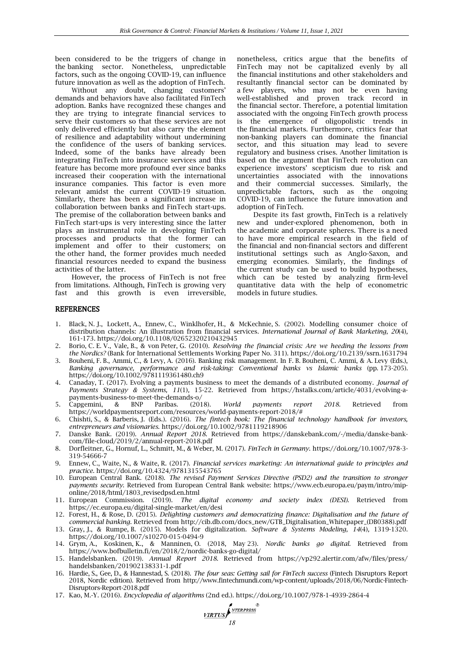been considered to be the triggers of change in the banking sector. Nonetheless, unpredictable factors, such as the ongoing COVID-19, can influence future innovation as well as the adoption of FinTech.

Without any doubt, changing customers' demands and behaviors have also facilitated FinTech adoption. Banks have recognized these changes and they are trying to integrate financial services to serve their customers so that these services are not only delivered efficiently but also carry the element of resilience and adaptability without undermining the confidence of the users of banking services. Indeed, some of the banks have already been integrating FinTech into insurance services and this feature has become more profound ever since banks increased their cooperation with the international insurance companies. This factor is even more relevant amidst the current COVID-19 situation. Similarly, there has been a significant increase in collaboration between banks and FinTech start-ups. The premise of the collaboration between banks and FinTech start-ups is very interesting since the latter plays an instrumental role in developing FinTech processes and products that the former can implement and offer to their customers; on the other hand, the former provides much needed financial resources needed to expand the business activities of the latter.

However, the process of FinTech is not free from limitations. Although, FinTech is growing very fast and this growth is even irreversible,

nonetheless, critics argue that the benefits of FinTech may not be capitalized evenly by all the financial institutions and other stakeholders and resultantly financial sector can be dominated by a few players, who may not be even having well-established and proven track record in the financial sector. Therefore, a potential limitation associated with the ongoing FinTech growth process is the emergence of oligopolistic trends in the financial markets. Furthermore, critics fear that non-banking players can dominate the financial sector, and this situation may lead to severe regulatory and business crises. Another limitation is based on the argument that FinTech revolution can experience investors' scepticism due to risk and uncertainties associated with the innovations and their commercial successes. Similarly, the unpredictable factors, such as the ongoing COVID-19, can influence the future innovation and adoption of FinTech.

Despite its fast growth, FinTech is a relatively new and under-explored phenomenon, both in the academic and corporate spheres. There is a need to have more empirical research in the field of the financial and non-financial sectors and different institutional settings such as Anglo-Saxon, and emerging economies. Similarly, the findings of the current study can be used to build hypotheses, which can be tested by analyzing firm-level quantitative data with the help of econometric models in future studies.

#### REFERENCES

- 1. Black, N. J., Lockett, A., Ennew, C., Winklhofer, H., & McKechnie, S. (2002). Modelling consumer choice of distribution channels: An illustration from financial services. *International Journal of Bank Marketing, 20*(4)*,* 161-173. https://doi.org/10.1108/02652320210432945
- 2. Borio, C. E. V., Vale, B., & von Peter, G. (2010). *Resolving the financial crisis: Are we heeding the lessons from the Nordics?* (Bank for International Settlements Working Paper No. 311). https://doi.org/10.2139/ssrn.1631794
- 3. Bouheni, F. B., Ammi, C., & Levy, A. (2016). Banking risk management. In F. B. Bouheni, C. Ammi, & A. Levy (Eds.), *Banking governance, performance and risk-taking: Conventional banks vs Islamic banks* (pp. 173-205). https://doi.org/10.1002/9781119361480.ch9
- 4. Canaday, T. (2017). Evolving a payments business to meet the demands of a distributed economy. *Journal of Payments Strategy & Systems, 11*(1)*,* 15-22. Retrieved from https://hstalks.com/article/4031/evolving-apayments-business-to-meet-the-demands-o/
- 5. Capgemini, & BNP Paribas. (2018). *World payments report 2018.* Retrieved from https://worldpaymentsreport.com/resources/world-payments-report-2018/#
- 6. Chishti, S., & Barberis, J. (Eds.). (2016). *The fintech book: The financial technology handbook for investors, entrepreneurs and visionaries*. https://doi.org/10.1002/9781119218906
- 7. Danske Bank. (2019). *Annual Report 2018.* Retrieved from https://danskebank.com/-/media/danske-bankcom/file-cloud/2019/2/annual-report-2018.pdf
- 8. Dorfleitner, G., Hornuf, L., Schmitt, M., & Weber, M. (2017). *FinTech in Germany*. https://doi.org/10.1007/978-3- 319-54666-7
- 9. Ennew, C., Waite, N., & Waite, R. (2017). *Financial services marketing: An international guide to principles and practice*. https://doi.org/10.4324/9781315543765
- 10. European Central Bank. (2018). *The revised Payment Services Directive (PSD2) and the transition to stronger payments security*. Retrieved from European Central Bank website: https://www.ecb.europa.eu/paym/intro/miponline/2018/html/1803\_revisedpsd.en.html
- 11. European Commission. (2019). *The digital economy and society index (DESI).* Retrieved from https://ec.europa.eu/digital-single-market/en/desi
- 12. Forest, H., & Rose, D. (2015). *Delighting customers and democratizing finance: Digitalisation and the future of commercial banking.* Retrieved from http://cib.db.com/docs\_new/GTB\_Digitalisation\_Whitepaper\_(DB0388).pdf
- 13. Gray, J., & Rumpe, B. (2015). Models for digitalization. *Software & Systems Modeling, 14*(4)*,* 1319-1320. https://doi.org/10.1007/s10270-015-0494-9
- 14. Grym, A., Koskinen, K., & Manninen, O. (2018, May 23). *Nordic banks go digital.* Retrieved from https://www.bofbulletin.fi/en/2018/2/nordic-banks-go-digital/
- 15. Handelsbanken. (2019). *Annual Report 2018*. Retrieved from https://vp292.alertir.com/afw/files/press/ handelsbanken/201902138331-1.pdf
- 16. Hardie, S., Gee, D., & Hannestad, S. (2018). *The four seas: Getting sail for FinTech success* (Fintech Disruptors Report 2018, Nordic edition). Retrieved from http://www.fintechmundi.com/wp-content/uploads/2018/06/Nordic-Fintech-Disruptors-Report-2018.pdf
- 17. Kao, M.-Y. (2016). *Encyclopedia of algorithms* (2nd ed.). https://doi.org/10.1007/978-1-4939-2864-4

**188 MIRTUS**